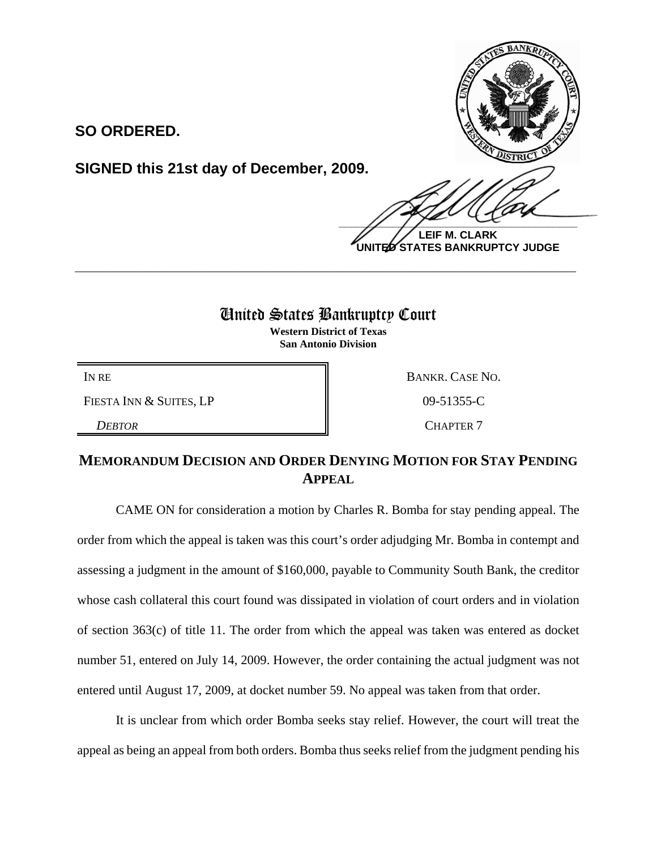**SO ORDERED.**

**SIGNED this 21st day of December, 2009.**

 $\frac{1}{2}$ **LEIF M. CLARK UNITED STATES BANKRUPTCY JUDGE**

## United States Bankruptcy Court

**\_\_\_\_\_\_\_\_\_\_\_\_\_\_\_\_\_\_\_\_\_\_\_\_\_\_\_\_\_\_\_\_\_\_\_\_\_\_\_\_\_\_\_\_\_\_\_\_\_\_\_\_\_\_\_\_\_\_\_\_**

**Western District of Texas San Antonio Division**

FIESTA INN & SUITES, LP 09-51355-C

IN RE BANKR. CASE NO. **DEBTOR** CHAPTER 7

## **MEMORANDUM DECISION AND ORDER DENYING MOTION FOR STAY PENDING APPEAL**

CAME ON for consideration a motion by Charles R. Bomba for stay pending appeal. The order from which the appeal is taken was this court's order adjudging Mr. Bomba in contempt and assessing a judgment in the amount of \$160,000, payable to Community South Bank, the creditor whose cash collateral this court found was dissipated in violation of court orders and in violation of section 363(c) of title 11. The order from which the appeal was taken was entered as docket number 51, entered on July 14, 2009. However, the order containing the actual judgment was not entered until August 17, 2009, at docket number 59. No appeal was taken from that order.

It is unclear from which order Bomba seeks stay relief. However, the court will treat the appeal as being an appeal from both orders. Bomba thus seeks relief from the judgment pending his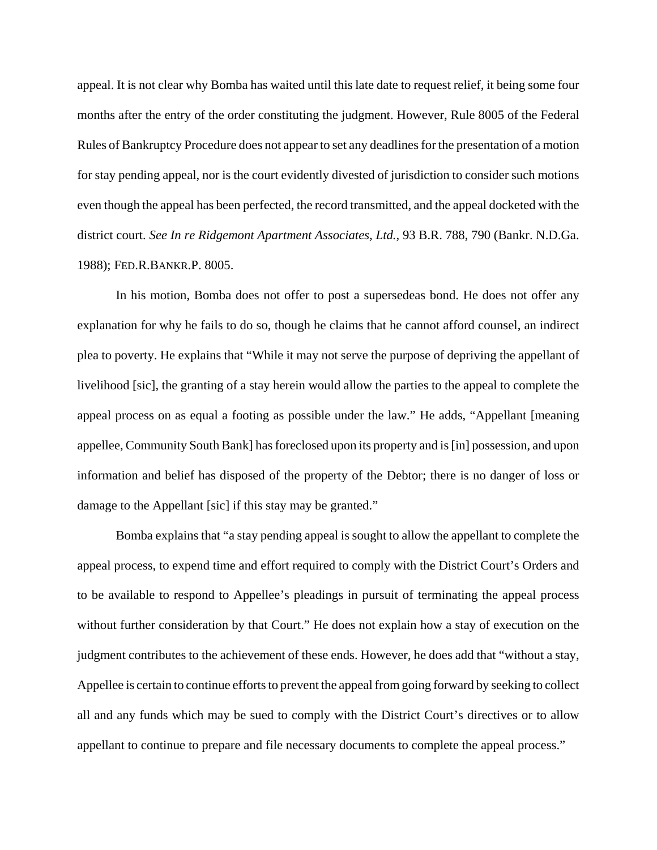appeal. It is not clear why Bomba has waited until this late date to request relief, it being some four months after the entry of the order constituting the judgment. However, Rule 8005 of the Federal Rules of Bankruptcy Procedure does not appear to set any deadlines for the presentation of a motion for stay pending appeal, nor is the court evidently divested of jurisdiction to consider such motions even though the appeal has been perfected, the record transmitted, and the appeal docketed with the district court. *See In re Ridgemont Apartment Associates, Ltd.*, 93 B.R. 788, 790 (Bankr. N.D.Ga. 1988); FED.R.BANKR.P. 8005.

In his motion, Bomba does not offer to post a supersedeas bond. He does not offer any explanation for why he fails to do so, though he claims that he cannot afford counsel, an indirect plea to poverty. He explains that "While it may not serve the purpose of depriving the appellant of livelihood [sic], the granting of a stay herein would allow the parties to the appeal to complete the appeal process on as equal a footing as possible under the law." He adds, "Appellant [meaning appellee, Community South Bank] has foreclosed upon its property and is [in] possession, and upon information and belief has disposed of the property of the Debtor; there is no danger of loss or damage to the Appellant [sic] if this stay may be granted."

Bomba explains that "a stay pending appeal is sought to allow the appellant to complete the appeal process, to expend time and effort required to comply with the District Court's Orders and to be available to respond to Appellee's pleadings in pursuit of terminating the appeal process without further consideration by that Court." He does not explain how a stay of execution on the judgment contributes to the achievement of these ends. However, he does add that "without a stay, Appellee is certain to continue efforts to prevent the appeal from going forward by seeking to collect all and any funds which may be sued to comply with the District Court's directives or to allow appellant to continue to prepare and file necessary documents to complete the appeal process."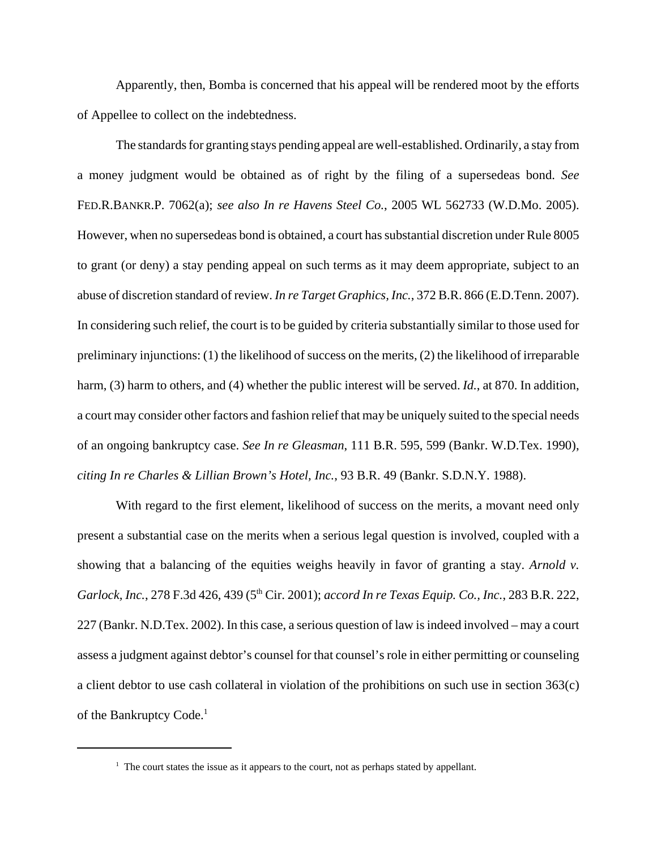Apparently, then, Bomba is concerned that his appeal will be rendered moot by the efforts of Appellee to collect on the indebtedness.

The standards for granting stays pending appeal are well-established. Ordinarily, a stay from a money judgment would be obtained as of right by the filing of a supersedeas bond. *See* FED.R.BANKR.P. 7062(a); *see also In re Havens Steel Co.*, 2005 WL 562733 (W.D.Mo. 2005). However, when no supersedeas bond is obtained, a court has substantial discretion under Rule 8005 to grant (or deny) a stay pending appeal on such terms as it may deem appropriate, subject to an abuse of discretion standard of review. *In re Target Graphics, Inc.*, 372 B.R. 866 (E.D.Tenn. 2007). In considering such relief, the court is to be guided by criteria substantially similar to those used for preliminary injunctions: (1) the likelihood of success on the merits, (2) the likelihood of irreparable harm, (3) harm to others, and (4) whether the public interest will be served. *Id.*, at 870. In addition, a court may consider other factors and fashion relief that may be uniquely suited to the special needs of an ongoing bankruptcy case. *See In re Gleasman*, 111 B.R. 595, 599 (Bankr. W.D.Tex. 1990), *citing In re Charles & Lillian Brown's Hotel, Inc.*, 93 B.R. 49 (Bankr. S.D.N.Y. 1988).

With regard to the first element, likelihood of success on the merits, a movant need only present a substantial case on the merits when a serious legal question is involved, coupled with a showing that a balancing of the equities weighs heavily in favor of granting a stay. *Arnold v. Garlock, Inc.*, 278 F.3d 426, 439 (5th Cir. 2001); *accord In re Texas Equip. Co., Inc.*, 283 B.R. 222, 227 (Bankr. N.D.Tex. 2002). In this case, a serious question of law is indeed involved – may a court assess a judgment against debtor's counsel for that counsel's role in either permitting or counseling a client debtor to use cash collateral in violation of the prohibitions on such use in section 363(c) of the Bankruptcy Code.<sup>1</sup>

<sup>&</sup>lt;sup>1</sup> The court states the issue as it appears to the court, not as perhaps stated by appellant.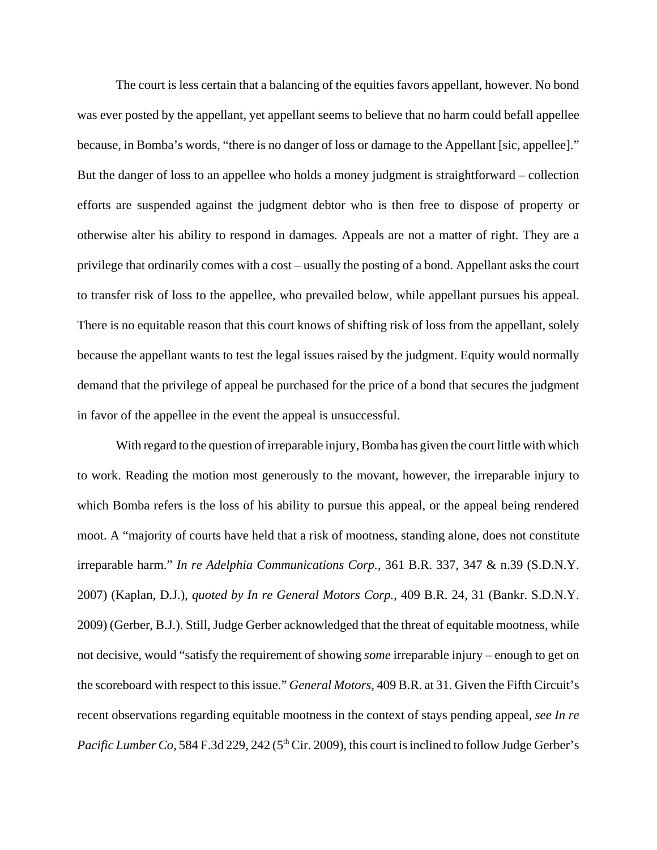The court is less certain that a balancing of the equities favors appellant, however. No bond was ever posted by the appellant, yet appellant seems to believe that no harm could befall appellee because, in Bomba's words, "there is no danger of loss or damage to the Appellant [sic, appellee]." But the danger of loss to an appellee who holds a money judgment is straightforward – collection efforts are suspended against the judgment debtor who is then free to dispose of property or otherwise alter his ability to respond in damages. Appeals are not a matter of right. They are a privilege that ordinarily comes with a cost – usually the posting of a bond. Appellant asks the court to transfer risk of loss to the appellee, who prevailed below, while appellant pursues his appeal. There is no equitable reason that this court knows of shifting risk of loss from the appellant, solely because the appellant wants to test the legal issues raised by the judgment. Equity would normally demand that the privilege of appeal be purchased for the price of a bond that secures the judgment in favor of the appellee in the event the appeal is unsuccessful.

With regard to the question of irreparable injury, Bomba has given the court little with which to work. Reading the motion most generously to the movant, however, the irreparable injury to which Bomba refers is the loss of his ability to pursue this appeal, or the appeal being rendered moot. A "majority of courts have held that a risk of mootness, standing alone, does not constitute irreparable harm." *In re Adelphia Communications Corp.*, 361 B.R. 337, 347 & n.39 (S.D.N.Y. 2007) (Kaplan, D.J.), *quoted by In re General Motors Corp.*, 409 B.R. 24, 31 (Bankr. S.D.N.Y. 2009) (Gerber, B.J.). Still, Judge Gerber acknowledged that the threat of equitable mootness, while not decisive, would "satisfy the requirement of showing *some* irreparable injury – enough to get on the scoreboard with respect to this issue." *General Motors*, 409 B.R. at 31. Given the Fifth Circuit's recent observations regarding equitable mootness in the context of stays pending appeal, *see In re Pacific Lumber Co,* 584 F.3d 229, 242 (5<sup>th</sup> Cir. 2009), this court is inclined to follow Judge Gerber's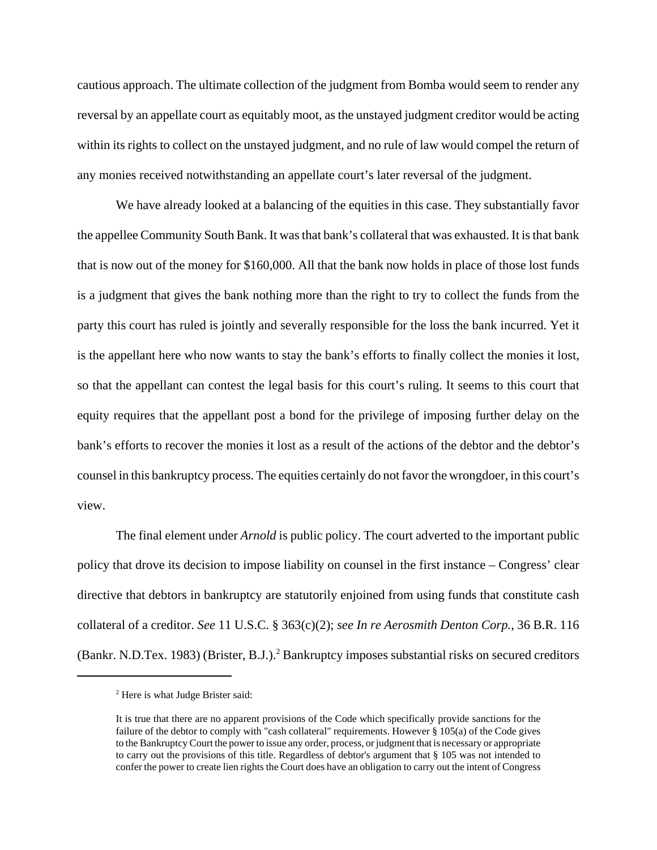cautious approach. The ultimate collection of the judgment from Bomba would seem to render any reversal by an appellate court as equitably moot, as the unstayed judgment creditor would be acting within its rights to collect on the unstayed judgment, and no rule of law would compel the return of any monies received notwithstanding an appellate court's later reversal of the judgment.

We have already looked at a balancing of the equities in this case. They substantially favor the appellee Community South Bank. It was that bank's collateral that was exhausted. It is that bank that is now out of the money for \$160,000. All that the bank now holds in place of those lost funds is a judgment that gives the bank nothing more than the right to try to collect the funds from the party this court has ruled is jointly and severally responsible for the loss the bank incurred. Yet it is the appellant here who now wants to stay the bank's efforts to finally collect the monies it lost, so that the appellant can contest the legal basis for this court's ruling. It seems to this court that equity requires that the appellant post a bond for the privilege of imposing further delay on the bank's efforts to recover the monies it lost as a result of the actions of the debtor and the debtor's counsel in this bankruptcy process. The equities certainly do not favor the wrongdoer, in this court's view.

The final element under *Arnold* is public policy. The court adverted to the important public policy that drove its decision to impose liability on counsel in the first instance – Congress' clear directive that debtors in bankruptcy are statutorily enjoined from using funds that constitute cash collateral of a creditor. *See* 11 U.S.C. § 363(c)(2); *see In re Aerosmith Denton Corp.*, 36 B.R. 116 (Bankr. N.D.Tex. 1983) (Brister, B.J.).<sup>2</sup> Bankruptcy imposes substantial risks on secured creditors

<sup>&</sup>lt;sup>2</sup> Here is what Judge Brister said:

It is true that there are no apparent provisions of the Code which specifically provide sanctions for the failure of the debtor to comply with "cash collateral" requirements. However § 105(a) of the Code gives to the Bankruptcy Court the power to issue any order, process, or judgment that is necessary or appropriate to carry out the provisions of this title. Regardless of debtor's argument that § 105 was not intended to confer the power to create lien rights the Court does have an obligation to carry out the intent of Congress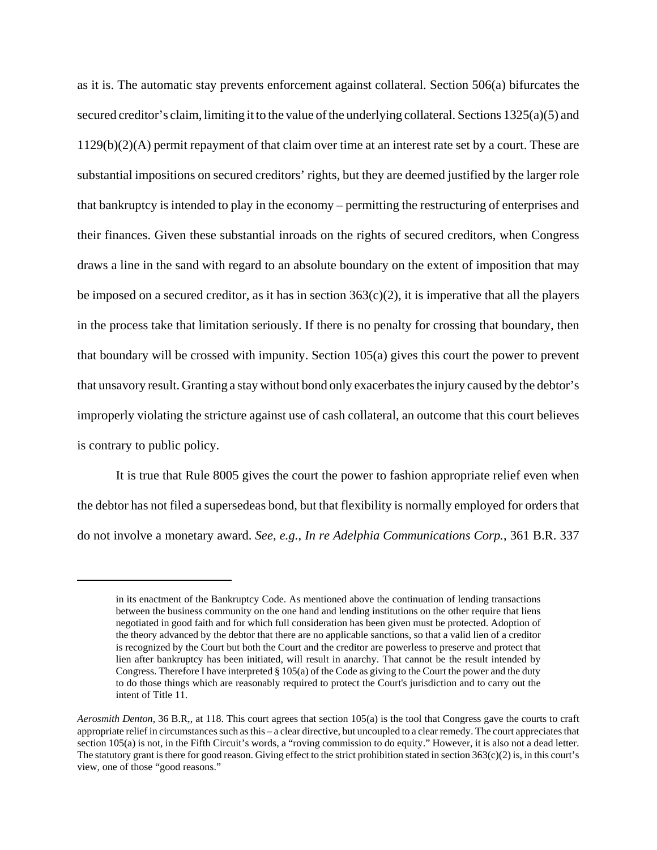as it is. The automatic stay prevents enforcement against collateral. Section 506(a) bifurcates the secured creditor's claim, limiting it to the value of the underlying collateral. Sections 1325(a)(5) and 1129(b)(2)(A) permit repayment of that claim over time at an interest rate set by a court. These are substantial impositions on secured creditors' rights, but they are deemed justified by the larger role that bankruptcy is intended to play in the economy – permitting the restructuring of enterprises and their finances. Given these substantial inroads on the rights of secured creditors, when Congress draws a line in the sand with regard to an absolute boundary on the extent of imposition that may be imposed on a secured creditor, as it has in section  $363(c)(2)$ , it is imperative that all the players in the process take that limitation seriously. If there is no penalty for crossing that boundary, then that boundary will be crossed with impunity. Section 105(a) gives this court the power to prevent that unsavory result. Granting a stay without bond only exacerbates the injury caused by the debtor's improperly violating the stricture against use of cash collateral, an outcome that this court believes is contrary to public policy.

It is true that Rule 8005 gives the court the power to fashion appropriate relief even when the debtor has not filed a supersedeas bond, but that flexibility is normally employed for orders that do not involve a monetary award. *See, e.g.*, *In re Adelphia Communications Corp.*, 361 B.R. 337

in its enactment of the Bankruptcy Code. As mentioned above the continuation of lending transactions between the business community on the one hand and lending institutions on the other require that liens negotiated in good faith and for which full consideration has been given must be protected. Adoption of the theory advanced by the debtor that there are no applicable sanctions, so that a valid lien of a creditor is recognized by the Court but both the Court and the creditor are powerless to preserve and protect that lien after bankruptcy has been initiated, will result in anarchy. That cannot be the result intended by Congress. Therefore I have interpreted § 105(a) of the Code as giving to the Court the power and the duty to do those things which are reasonably required to protect the Court's jurisdiction and to carry out the intent of Title 11.

*Aerosmith Denton*, 36 B.R,, at 118. This court agrees that section 105(a) is the tool that Congress gave the courts to craft appropriate relief in circumstances such as this – a clear directive, but uncoupled to a clear remedy. The court appreciates that section 105(a) is not, in the Fifth Circuit's words, a "roving commission to do equity." However, it is also not a dead letter. The statutory grant is there for good reason. Giving effect to the strict prohibition stated in section 363(c)(2) is, in this court's view, one of those "good reasons."